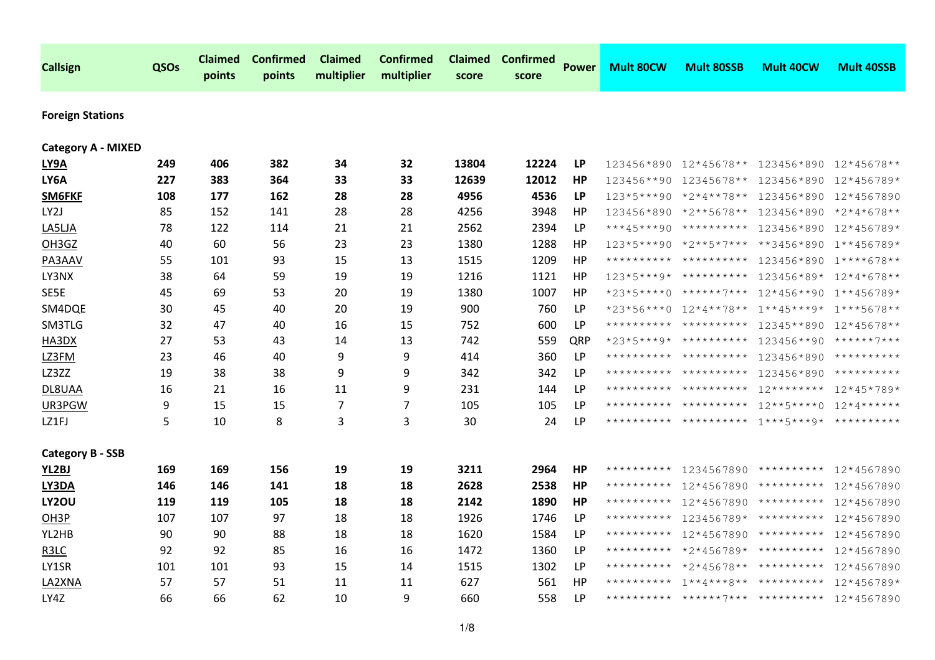| <b>Callsign</b>           | QSOs | <b>Claimed</b><br>points | <b>Confirmed</b><br>points | Claimed<br>multiplier | <b>Confirmed</b><br>multiplier | <b>Claimed</b><br>score | <b>Confirmed</b><br>score | <b>Power</b> | <b>Mult 80CW</b> | <b>Mult 80SSB</b>       | <b>Mult 40CW</b>                            | <b>Mult 40SSB</b> |
|---------------------------|------|--------------------------|----------------------------|-----------------------|--------------------------------|-------------------------|---------------------------|--------------|------------------|-------------------------|---------------------------------------------|-------------------|
| <b>Foreign Stations</b>   |      |                          |                            |                       |                                |                         |                           |              |                  |                         |                                             |                   |
| <b>Category A - MIXED</b> |      |                          |                            |                       |                                |                         |                           |              |                  |                         |                                             |                   |
| <b>LY9A</b>               | 249  | 406                      | 382                        | 34                    | 32                             | 13804                   | 12224                     | <b>LP</b>    |                  |                         | 123456*890 12*45678** 123456*890 12*45678** |                   |
| LY6A                      | 227  | 383                      | 364                        | 33                    | 33                             | 12639                   | 12012                     | HР           |                  | 123456**90 12345678**   | 123456*890                                  | 12*456789*        |
| SM6FKF                    | 108  | 177                      | 162                        | 28                    | 28                             | 4956                    | 4536                      | <b>LP</b>    |                  | $123*5***90*2*4**78**$  | 123456*890                                  | 12*4567890        |
| LY2J                      | 85   | 152                      | 141                        | 28                    | 28                             | 4256                    | 3948                      | HP           | 123456*890       | *2**5678**              | 123456*890                                  | *2*4*678**        |
| LA5LJA                    | 78   | 122                      | 114                        | 21                    | 21                             | 2562                    | 2394                      | LP           |                  | ***45***90 **********   | 123456*890                                  | 12*456789*        |
| OH3GZ                     | 40   | 60                       | 56                         | 23                    | 23                             | 1380                    | 1288                      | HP           |                  | $123*5***90$ *2**5*7*** | **3456*890                                  | 1**456789*        |
| PA3AAV                    | 55   | 101                      | 93                         | 15                    | 13                             | 1515                    | 1209                      | HP           | **********       | **********              | 123456*890                                  | 1****678**        |
| LY3NX                     | 38   | 64                       | 59                         | 19                    | 19                             | 1216                    | 1121                      | HP           | $123*5***9*$     | **********              | 123456*89* 12*4*678**                       |                   |
| SE5E                      | 45   | 69                       | 53                         | 20                    | 19                             | 1380                    | 1007                      | HP           | $*23*5***0$      | ******7***              | 12*456**90                                  | 1**456789*        |
| SM4DQE                    | 30   | 45                       | 40                         | 20                    | 19                             | 900                     | 760                       | <b>LP</b>    |                  | *23*56***0 12*4**78**   | $1***45***9*$                               | 1***5678**        |
| SM3TLG                    | 32   | 47                       | 40                         | 16                    | 15                             | 752                     | 600                       | LP           |                  | **********              | 12345**890                                  | 12*45678**        |
| HA3DX                     | 27   | 53                       | 43                         | 14                    | 13                             | 742                     | 559                       | QRP          |                  | $*23*5***9*$ ********** | 123456**90                                  | ******7***        |
| LZ3FM                     | 23   | 46                       | 40                         | 9                     | 9                              | 414                     | 360                       | <b>LP</b>    |                  | ********** **********   | 123456*890                                  | **********        |
| LZ3ZZ                     | 19   | 38                       | 38                         | 9                     | 9                              | 342                     | 342                       | LP           |                  | ********** **********   | 123456*890                                  | **********        |
| DL8UAA                    | 16   | 21                       | 16                         | 11                    | 9                              | 231                     | 144                       | LP           | **********       | **********              | $12*********$                               | 12*45*789*        |
| UR3PGW                    | 9    | 15                       | 15                         | 7                     | $\overline{7}$                 | 105                     | 105                       | LP           |                  | ********** **********   | $12***5***0$                                | $12*4******$      |
| LZ1FJ                     | 5    | 10                       | 8                          | 3                     | 3                              | 30                      | 24                        | LP           |                  | ********** **********   | $1***5***9*$                                | **********        |
| <b>Category B - SSB</b>   |      |                          |                            |                       |                                |                         |                           |              |                  |                         |                                             |                   |
| YL2BJ                     | 169  | 169                      | 156                        | 19                    | 19                             | 3211                    | 2964                      | HР           | **********       |                         | 1234567890 ********** 12*4567890            |                   |
| LY3DA                     | 146  | 146                      | 141                        | 18                    | 18                             | 2628                    | 2538                      | HP           | **********       | 12*4567890              | **********                                  | 12*4567890        |
| <b>LY2OU</b>              | 119  | 119                      | 105                        | 18                    | 18                             | 2142                    | 1890                      | HP           | **********       | 12*4567890              | **********                                  | 12*4567890        |
| OH <sub>3</sub> P         | 107  | 107                      | 97                         | 18                    | 18                             | 1926                    | 1746                      | LP           | **********       |                         | $123456789*$ **********                     | 12*4567890        |
| YL2HB                     | 90   | 90                       | 88                         | 18                    | 18                             | 1620                    | 1584                      | <b>LP</b>    | **********       | 12*4567890              | **********                                  | 12*4567890        |
| R <sub>3</sub> LC         | 92   | 92                       | 85                         | 16                    | 16                             | 1472                    | 1360                      | LP           | **********       | $*2*456789*$            | **********                                  | 12*4567890        |
| LY1SR                     | 101  | 101                      | 93                         | 15                    | 14                             | 1515                    | 1302                      | LP           | **********       | *2*45678**              | **********                                  | 12*4567890        |
| LA2XNA                    | 57   | 57                       | 51                         | 11                    | 11                             | 627                     | 561                       | HP           | **********       |                         | $1***4***8****************$                 | 12*456789*        |
| LY4Z                      | 66   | 66                       | 62                         | 10                    | 9                              | 660                     | 558                       | LP           |                  |                         | ********** ******7*** ********** 12*4567890 |                   |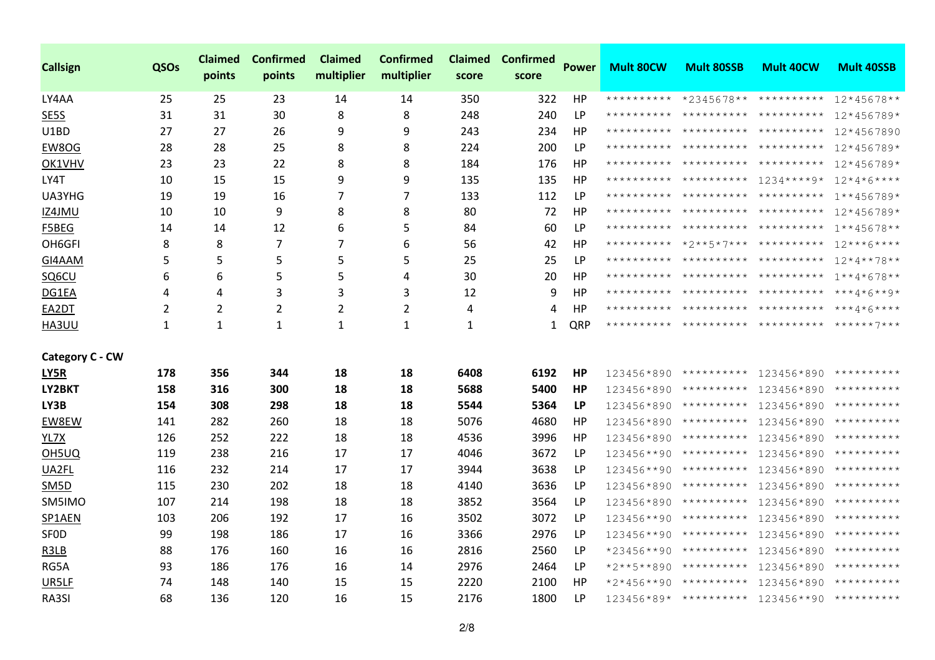| <b>Callsign</b>        | QSOs | <b>Claimed</b><br>points | <b>Confirmed</b><br>points | <b>Claimed</b><br>multiplier | <b>Confirmed</b><br>multiplier | <b>Claimed</b><br>score | <b>Confirmed</b><br>score | <b>Power</b> | <b>Mult 80CW</b> | <b>Mult 80SSB</b>                   | <b>Mult 40CW</b>                            | <b>Mult 40SSB</b> |
|------------------------|------|--------------------------|----------------------------|------------------------------|--------------------------------|-------------------------|---------------------------|--------------|------------------|-------------------------------------|---------------------------------------------|-------------------|
| LY4AA                  | 25   | 25                       | 23                         | 14                           | 14                             | 350                     | 322                       | HP           |                  | ********** *2345678** **********    |                                             | $12*45678**$      |
| SE5S                   | 31   | 31                       | 30                         | 8                            | 8                              | 248                     | 240                       | LP           |                  | ********** ********** **********    |                                             | 12*456789*        |
| U1BD                   | 27   | 27                       | 26                         | 9                            | 9                              | 243                     | 234                       | HP           |                  |                                     | ********** ********** ********** 12*4567890 |                   |
| EW8OG                  | 28   | 28                       | 25                         | 8                            | 8                              | 224                     | 200                       | <b>LP</b>    |                  | ********** ********** **********    |                                             | 12*456789*        |
| OK1VHV                 | 23   | 23                       | 22                         | 8                            | 8                              | 184                     | 176                       | HP           |                  | ********** ********** **********    |                                             | 12*456789*        |
| LY4T                   | 10   | 15                       | 15                         | 9                            | 9                              | 135                     | 135                       | HP           |                  |                                     | ********** ********** 1234****9* 12*4*6**** |                   |
| UA3YHG                 | 19   | 19                       | 16                         | 7                            | 7                              | 133                     | 112                       | LP           |                  | ********** ********* **********     |                                             | 1**456789*        |
| IZ4JMU                 | 10   | 10                       | 9                          | 8                            | 8                              | 80                      | 72                        | HP           |                  |                                     | ********** ********** ********** 12*456789* |                   |
| F5BEG                  | 14   | 14                       | 12                         | 6                            | 5                              | 84                      | 60                        | LP           |                  |                                     | ********** ********** ********** 1**45678** |                   |
| OH6GFI                 | 8    | 8                        | 7                          | 7                            | 6                              | 56                      | 42                        | HP           |                  |                                     | ********** *2**5*7*** ********** 12***6**** |                   |
| GI4AAM                 | 5    | 5                        | 5                          | 5                            | 5                              | 25                      | 25                        | LP           |                  | ********** ********** **********    |                                             | 12*4**78**        |
| SQ6CU                  | 6    | 6                        | 5                          | 5                            | 4                              | 30                      | 20                        | HP           |                  | ********** ********** **********    |                                             | 1**4*678**        |
| DG1EA                  | 4    | 4                        | 3                          | 3                            | 3                              | 12                      | 9                         | HP           |                  |                                     |                                             |                   |
| EA2DT                  | 2    | 2                        | $\overline{2}$             | 2                            | 2                              | 4                       | 4                         | HP           |                  |                                     | ********** ********** ********** ***4*6**** |                   |
| HA3UU                  | 1    | 1                        | $\mathbf{1}$               | 1                            | 1                              | 1                       | $\mathbf{1}$              | QRP          |                  |                                     |                                             |                   |
|                        |      |                          |                            |                              |                                |                         |                           |              |                  |                                     |                                             |                   |
| <b>Category C - CW</b> |      |                          |                            |                              |                                |                         |                           |              |                  |                                     |                                             |                   |
| <b>LY5R</b>            | 178  | 356                      | 344                        | 18                           | 18                             | 6408                    | 6192                      | <b>HP</b>    |                  |                                     | 123456*890 ********** 123456*890 ********** |                   |
| LY2BKT                 | 158  | 316                      | 300                        | 18                           | 18                             | 5688                    | 5400                      | HP           | 123456*890       |                                     | ********** 123456*890 **********            |                   |
| LY3B                   | 154  | 308                      | 298                        | 18                           | 18                             | 5544                    | 5364                      | <b>LP</b>    |                  |                                     | 123456*890 ********** 123456*890 ********** |                   |
| EW8EW                  | 141  | 282                      | 260                        | 18                           | 18                             | 5076                    | 4680                      | HP           | 123456*890       |                                     | ********** 123456*890                       | **********        |
| YL7X                   | 126  | 252                      | 222                        | 18                           | 18                             | 4536                    | 3996                      | HP           |                  | 123456*890 ********** 123456*890    |                                             | **********        |
| OH5UQ                  | 119  | 238                      | 216                        | 17                           | 17                             | 4046                    | 3672                      | LP           |                  |                                     |                                             | **********        |
| UA2FL                  | 116  | 232                      | 214                        | 17                           | 17                             | 3944                    | 3638                      | LP           | 123456**90       |                                     | ********** 123456*890                       | **********        |
| SM <sub>5D</sub>       | 115  | 230                      | 202                        | 18                           | 18                             | 4140                    | 3636                      | <b>LP</b>    | 123456*890       |                                     | ********** 123456*890                       | **********        |
| SM5IMO                 | 107  | 214                      | 198                        | 18                           | 18                             | 3852                    | 3564                      | <b>LP</b>    | 123456*890       |                                     | ********** 123456*890                       | **********        |
| SP1AEN                 | 103  | 206                      | 192                        | 17                           | 16                             | 3502                    | 3072                      | <b>LP</b>    |                  | $123456***90************123456*890$ |                                             | **********        |
| <b>SFOD</b>            | 99   | 198                      | 186                        | 17                           | 16                             | 3366                    | 2976                      | LP           |                  | 123456**90 ********** 123456*890    |                                             | **********        |
| R3LB                   | 88   | 176                      | 160                        | 16                           | 16                             | 2816                    | 2560                      | LP           |                  |                                     |                                             | **********        |
| RG5A                   | 93   | 186                      | 176                        | 16                           | 14                             | 2976                    | 2464                      | LP           |                  | *2**5**890 ********** 123456*890    |                                             | **********        |
| UR5LF                  | 74   | 148                      | 140                        | 15                           | 15                             | 2220                    | 2100                      | HP           | $*2*456**90$     | **********                          | 123456*890                                  | **********        |
| RA3SI                  | 68   | 136                      | 120                        | 16                           | 15                             | 2176                    | 1800                      | LР           |                  |                                     | 123456*89* ********** 123456**90 ********** |                   |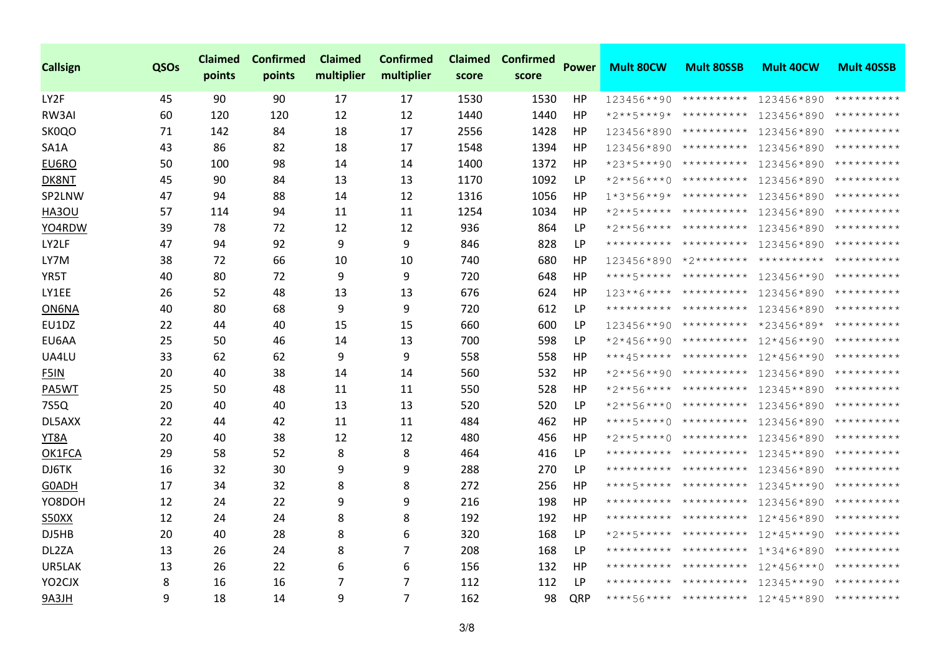| <b>Callsign</b>     | QSOs | <b>Claimed</b><br>points | <b>Confirmed</b><br>points | <b>Claimed</b><br>multiplier | <b>Confirmed</b><br>multiplier | <b>Claimed</b><br>score | <b>Confirmed</b><br>score | <b>Power</b> | <b>Mult 80CW</b> | <b>Mult 80SSB</b>                    | <b>Mult 40CW</b>                               | <b>Mult 40SSB</b>   |
|---------------------|------|--------------------------|----------------------------|------------------------------|--------------------------------|-------------------------|---------------------------|--------------|------------------|--------------------------------------|------------------------------------------------|---------------------|
| LY2F                | 45   | 90                       | 90                         | 17                           | 17                             | 1530                    | 1530                      | HP           |                  | 123456**90 ********** 123456*890     |                                                | **********          |
| RW3AI               | 60   | 120                      | 120                        | 12                           | 12                             | 1440                    | 1440                      | HP           |                  | *2**5***9* ********** 123456*890     |                                                | **********          |
| SK0QO               | 71   | 142                      | 84                         | 18                           | 17                             | 2556                    | 1428                      | HP           | 123456*890       |                                      | ********** 123456*890                          | **********          |
| SA1A                | 43   | 86                       | 82                         | 18                           | 17                             | 1548                    | 1394                      | HP           | 123456*890       |                                      | ********** 123456*890                          | **********          |
| EU6RO               | 50   | 100                      | 98                         | 14                           | 14                             | 1400                    | 1372                      | HP           | $*23*5***90$     |                                      | ********** 123456*890                          | **********          |
| DK8NT               | 45   | 90                       | 84                         | 13                           | 13                             | 1170                    | 1092                      | <b>LP</b>    | *2**56***0       | **********                           | 123456*890                                     | **********          |
| SP2LNW              | 47   | 94                       | 88                         | 14                           | 12                             | 1316                    | 1056                      | HP           |                  | $1*3*56**9*$ ********** 123456*890   |                                                | **********          |
| HA3OU               | 57   | 114                      | 94                         | 11                           | 11                             | 1254                    | 1034                      | HP           |                  | *2**5***** ********** 123456*890     |                                                | **********          |
| YO4RDW              | 39   | 78                       | 72                         | 12                           | 12                             | 936                     | 864                       | LP           |                  | *2**56**** ********** 123456*890     |                                                | **********          |
| LY2LF               | 47   | 94                       | 92                         | 9                            | 9                              | 846                     | 828                       | LP           |                  | ********** ********** 123456*890     |                                                | **********          |
| LY7M                | 38   | 72                       | 66                         | 10                           | 10                             | 740                     | 680                       | HP           |                  |                                      | $123456*890$ *2******** ********** *********** |                     |
| YR5T                | 40   | 80                       | 72                         | 9                            | 9                              | 720                     | 648                       | HP           |                  | ****5***** ********** 123456**90     |                                                | **********          |
| LY1EE               | 26   | 52                       | 48                         | 13                           | 13                             | 676                     | 624                       | HP           |                  | $123***6*****************123456*890$ |                                                | **********          |
| ON6NA               | 40   | 80                       | 68                         | 9                            | 9                              | 720                     | 612                       | <b>LP</b>    |                  | ********** ********** 123456*890     |                                                | **********          |
| EU1DZ               | 22   | 44                       | 40                         | 15                           | 15                             | 660                     | 600                       | <b>LP</b>    | 123456**90       |                                      | ********** *23456*89* **********               |                     |
| EU6AA               | 25   | 50                       | 46                         | 14                           | 13                             | 700                     | 598                       | LP           | $*2*456**90$     |                                      | ********** 12*456**90                          | **********          |
| UA4LU               | 33   | 62                       | 62                         | 9                            | 9                              | 558                     | 558                       | HP           |                  | ***45***** ********** 12*456**90     |                                                | **********          |
| F5IN                | 20   | 40                       | 38                         | 14                           | 14                             | 560                     | 532                       | HP           |                  | *2**56**90 ********** 123456*890     |                                                | **********          |
| PA5WT               | 25   | 50                       | 48                         | 11                           | 11                             | 550                     | 528                       | HP           |                  | *2**56**** ********** 12345**890     |                                                | **********          |
| 7S5Q                | 20   | 40                       | 40                         | 13                           | 13                             | 520                     | 520                       | LP           |                  | *2**56***0 ********** 123456*890     |                                                | **********          |
| DL5AXX              | 22   | 44                       | 42                         | 11                           | 11                             | 484                     | 462                       | HP           | ****5****0       | ********** 123456*890                |                                                | **********          |
| YT8A                | 20   | 40                       | 38                         | 12                           | 12                             | 480                     | 456                       | HP           | $*2***5***0$     |                                      | ********** 123456*890                          | **********          |
| OK1FCA              | 29   | 58                       | 52                         | 8                            | 8                              | 464                     | 416                       | LP           |                  | ********** ********** 12345**890     |                                                | **********          |
| DJ6TK               | 16   | 32                       | 30                         | 9                            | 9                              | 288                     | 270                       | LP           |                  | ********** ********** 123456*890     |                                                | **********          |
| G0ADH               | 17   | 34                       | 32                         | 8                            | 8                              | 272                     | 256                       | HP           |                  | ****5***** ********** 12345***90     |                                                | **********          |
| YO8DOH              | 12   | 24                       | 22                         | 9                            | 9                              | 216                     | 198                       | HP           | **********       | ********** 123456*890                |                                                | **********          |
| <b>S50XX</b>        | 12   | 24                       | 24                         | 8                            | 8                              | 192                     | 192                       | HP           | **********       | ********** 12*456*890                |                                                | **********          |
| DJ5HB               | 20   | 40                       | 28                         | 8                            | 6                              | 320                     | 168                       | <b>LP</b>    |                  | *2**5***** ********** 12*45***90     |                                                | **********          |
| DL2ZA               | 13   | 26                       | 24                         | 8                            | 7                              | 208                     | 168                       | LP           |                  | ********** ********** 1*34*6*890     |                                                | **********          |
| UR5LAK              | 13   | 26                       | 22                         | 6                            | 6                              | 156                     | 132                       | HP           |                  | ********** ********** 12*456***0     |                                                | **********          |
| YO <sub>2</sub> CJX | 8    | 16                       | 16                         | 7                            | 7                              | 112                     | 112                       | LP           |                  | ********** ********** 12345***90     |                                                | **********          |
| 9A3JH               | 9    | 18                       | 14                         | 9                            | 7                              | 162                     | 98                        | QRP          |                  | ****56**** ********** 12*45**890     |                                                | * * * * * * * * * * |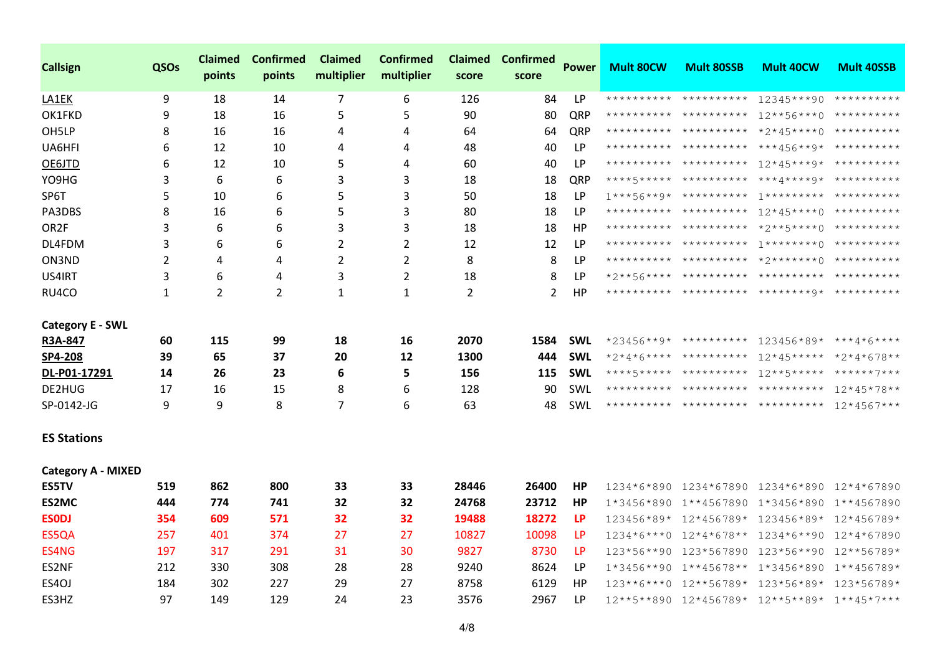| <b>Callsign</b>           | QSOs         | <b>Claimed</b><br>points | <b>Confirmed</b><br>points | Claimed<br>multiplier | <b>Confirmed</b><br>multiplier | <b>Claimed</b><br>score | <b>Confirmed</b><br>score | <b>Power</b> | <b>Mult 80CW</b> | <b>Mult 80SSB</b>                      | <b>Mult 40CW</b>                                     | <b>Mult 40SSB</b> |
|---------------------------|--------------|--------------------------|----------------------------|-----------------------|--------------------------------|-------------------------|---------------------------|--------------|------------------|----------------------------------------|------------------------------------------------------|-------------------|
| LA1EK                     | 9            | 18                       | 14                         | 7                     | 6                              | 126                     | 84                        | LP           |                  | ********** **********                  | 12345***90 **********                                |                   |
| OK1FKD                    | 9            | 18                       | 16                         | 5                     | 5                              | 90                      | 80                        | QRP          |                  | ********** ********** 12**56***0       |                                                      | **********        |
| OH5LP                     | 8            | 16                       | 16                         | 4                     | 4                              | 64                      | 64                        | QRP          |                  | ********** ********** *2*45****0       |                                                      | **********        |
| UA6HFI                    | 6            | 12                       | 10                         | 4                     | 4                              | 48                      | 40                        | LP           |                  |                                        | ********** ********** ***456**9* **********          |                   |
| OE6JTD                    | 6            | 12                       | 10                         | 5                     | 4                              | 60                      | 40                        | LP           |                  | ********** ********** 12*45***9*       |                                                      | **********        |
| YO9HG                     | 3            | 6                        | 6                          | 3                     | 3                              | 18                      | 18                        | QRP          |                  |                                        |                                                      |                   |
| SP6T                      | 5            | 10                       | 6                          | 5                     | 3                              | 50                      | 18                        | LP           |                  |                                        | $1***$ 56**9* ********** 1********* **********       |                   |
| PA3DBS                    | 8            | 16                       | 6                          | 5                     | 3                              | 80                      | 18                        | LP           |                  |                                        | ********** ********** 12*45****0 **********          |                   |
| OR <sub>2</sub> F         | 3            | 6                        | 6                          | 3                     | 3                              | 18                      | 18                        | HP           |                  |                                        |                                                      |                   |
| DL4FDM                    | 3            | 6                        | 6                          | $\overline{2}$        | $\overline{2}$                 | 12                      | 12                        | LP           |                  |                                        |                                                      |                   |
| ON3ND                     | 2            | 4                        | 4                          | 2                     | $\overline{2}$                 | 8                       | 8                         | LP           |                  |                                        |                                                      |                   |
| US4IRT                    | 3            | 6                        | 4                          | 3                     | $\overline{2}$                 | 18                      | 8                         | LP           |                  |                                        |                                                      |                   |
| RU4CO                     | $\mathbf{1}$ | 2                        | $\overline{2}$             | 1                     | 1                              | $\overline{2}$          | 2                         | HP           |                  |                                        |                                                      |                   |
| <b>Category E - SWL</b>   |              |                          |                            |                       |                                |                         |                           |              |                  |                                        |                                                      |                   |
| R3A-847                   | 60           | 115                      | 99                         | 18                    | 16                             | 2070                    | 1584                      | <b>SWL</b>   |                  |                                        | *23456**9* ********** 123456*89* ***4*6****          |                   |
| SP4-208                   | 39           | 65                       | 37                         | 20                    | 12                             | 1300                    | 444                       | <b>SWL</b>   |                  |                                        | *2*4*6**** ********** 12*45***** *2*4*678**          |                   |
| DL-P01-17291              | 14           | 26                       | 23                         | 6                     | 5                              | 156                     | 115                       | <b>SWL</b>   |                  |                                        | ****5***** ********** 12**5***** ******7***          |                   |
| DE2HUG                    | 17           | 16                       | 15                         | 8                     | 6                              | 128                     | 90                        | <b>SWL</b>   |                  |                                        | ********** ********** ********** 12*45*78**          |                   |
| SP-0142-JG                | 9            | 9                        | 8                          | 7                     | 6                              | 63                      | 48                        | SWL          |                  |                                        | ********** ********** ********** 12*4567***          |                   |
| <b>ES Stations</b>        |              |                          |                            |                       |                                |                         |                           |              |                  |                                        |                                                      |                   |
| <b>Category A - MIXED</b> |              |                          |                            |                       |                                |                         |                           |              |                  |                                        |                                                      |                   |
| <b>ES5TV</b>              | 519          | 862                      | 800                        | 33                    | 33                             | 28446                   | 26400                     | HP           | 1234*6*890       | 1234*67890 1234*6*890                  |                                                      | 12*4*67890        |
| ES2MC                     | 444          | 774                      | 741                        | 32                    | 32                             | 24768                   | 23712                     | HP           |                  | $1*3456*890$ $1**4567890$ $1*3456*890$ |                                                      | 1**4567890        |
| <b>ESODJ</b>              | 354          | 609                      | 571                        | 32                    | 32                             | 19488                   | 18272                     | <b>LP</b>    |                  | 123456*89* 12*456789*                  | 123456*89*                                           | 12*456789*        |
| ES5QA                     | 257          | 401                      | 374                        | 27                    | 27                             | 10827                   | 10098                     | <b>LP</b>    |                  | $1234*6***0$ $12*4*678**$              | 1234*6**90                                           | 12*4*67890        |
| ES4NG                     | 197          | 317                      | 291                        | 31                    | 30                             | 9827                    | 8730                      | LP           |                  | 123*56**90 123*567890 123*56**90       |                                                      | 12**56789*        |
| ES2NF                     | 212          | 330                      | 308                        | 28                    | 28                             | 9240                    | 8624                      | <b>LP</b>    |                  | $1*3456**90$ $1**45678**$ $1*3456*890$ |                                                      | $1***456789*$     |
| ES4OJ                     | 184          | 302                      | 227                        | 29                    | 27                             | 8758                    | 6129                      | HP           |                  | $123***6***0$ $12***56789*$            | 123*56*89*                                           | 123*56789*        |
| ES3HZ                     | 97           | 149                      | 129                        | 24                    | 23                             | 3576                    | 2967                      | LP           |                  |                                        | $12***5***890$ $12*456789*$ $12***89*$ $1***45*7***$ |                   |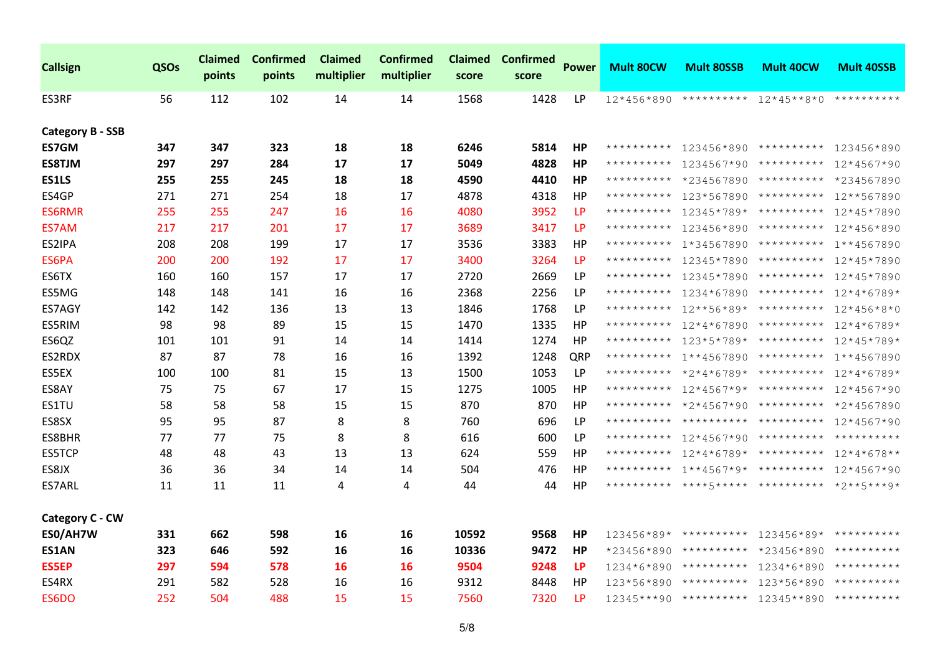| <b>Callsign</b>         | QSOs | <b>Claimed</b><br>points | <b>Confirmed</b><br>points | <b>Claimed</b><br>multiplier | <b>Confirmed</b><br>multiplier | <b>Claimed</b><br>score | <b>Confirmed</b><br>score | <b>Power</b> | <b>Mult 80CW</b> | <b>Mult 80SSB</b>                | <b>Mult 40CW</b>                            | <b>Mult 40SSB</b> |
|-------------------------|------|--------------------------|----------------------------|------------------------------|--------------------------------|-------------------------|---------------------------|--------------|------------------|----------------------------------|---------------------------------------------|-------------------|
| ES3RF                   | 56   | 112                      | 102                        | 14                           | 14                             | 1568                    | 1428                      | <b>LP</b>    | 12*456*890       | **********                       | $12*45**8*0$                                | **********        |
| <b>Category B - SSB</b> |      |                          |                            |                              |                                |                         |                           |              |                  |                                  |                                             |                   |
| <b>ES7GM</b>            | 347  | 347                      | 323                        | 18                           | 18                             | 6246                    | 5814                      | HP           | **********       |                                  | 123456*890 ********** 123456*890            |                   |
| <b>ES8TJM</b>           | 297  | 297                      | 284                        | 17                           | 17                             | 5049                    | 4828                      | <b>HP</b>    |                  |                                  | ********** 1234567*90 ********** 12*4567*90 |                   |
| <b>ES1LS</b>            | 255  | 255                      | 245                        | 18                           | 18                             | 4590                    | 4410                      | HP           | **********       | *234567890                       | **********                                  | *234567890        |
| ES4GP                   | 271  | 271                      | 254                        | 18                           | 17                             | 4878                    | 4318                      | HР           | **********       |                                  | $123*567890$ **********                     | 12**567890        |
| <b>ES6RMR</b>           | 255  | 255                      | 247                        | 16                           | 16                             | 4080                    | 3952                      | LP           | **********       | $12345*789*$ **********          |                                             | 12*45*7890        |
| ES7AM                   | 217  | 217                      | 201                        | 17                           | 17                             | 3689                    | 3417                      | LP           |                  | ********** 123456*890 ********** |                                             | 12*456*890        |
| ES2IPA                  | 208  | 208                      | 199                        | 17                           | 17                             | 3536                    | 3383                      | HP           | **********       | 1*34567890                       | **********                                  | 1**4567890        |
| ES6PA                   | 200  | 200                      | 192                        | 17                           | 17                             | 3400                    | 3264                      | LP           | **********       | 12345*7890                       | **********                                  | 12*45*7890        |
| ES6TX                   | 160  | 160                      | 157                        | 17                           | 17                             | 2720                    | 2669                      | LP           | **********       | 12345*7890                       | **********                                  | 12*45*7890        |
| ES5MG                   | 148  | 148                      | 141                        | 16                           | 16                             | 2368                    | 2256                      | <b>LP</b>    | **********       | 1234*67890                       | **********                                  | $12*4*6789*$      |
| ES7AGY                  | 142  | 142                      | 136                        | 13                           | 13                             | 1846                    | 1768                      | <b>LP</b>    |                  | ********** 12**56*89* ********** |                                             | 12*456*8*0        |
| ES5RIM                  | 98   | 98                       | 89                         | 15                           | 15                             | 1470                    | 1335                      | HP           | **********       | 12*4*67890                       | **********                                  | $12*4*6789*$      |
| ES6QZ                   | 101  | 101                      | 91                         | 14                           | 14                             | 1414                    | 1274                      | HP           |                  | ********** 123*5*789* ********** |                                             | $12*45*789*$      |
| ES2RDX                  | 87   | 87                       | 78                         | 16                           | 16                             | 1392                    | 1248                      | QRP          |                  | ********** 1**4567890            | **********                                  | 1**4567890        |
| ES5EX                   | 100  | 100                      | 81                         | 15                           | 13                             | 1500                    | 1053                      | <b>LP</b>    |                  |                                  | ********** *2*4*6789* ********** 12*4*6789* |                   |
| ES8AY                   | 75   | 75                       | 67                         | 17                           | 15                             | 1275                    | 1005                      | <b>HP</b>    |                  |                                  | ********** 12*4567*9* ********** 12*4567*90 |                   |
| ES1TU                   | 58   | 58                       | 58                         | 15                           | 15                             | 870                     | 870                       | HP           | **********       | *2*4567*90                       | **********                                  | *2*4567890        |
| ES8SX                   | 95   | 95                       | 87                         | 8                            | 8                              | 760                     | 696                       | <b>LP</b>    |                  |                                  | ********** ********** ********** 12*4567*90 |                   |
| ES8BHR                  | 77   | 77                       | 75                         | 8                            | 8                              | 616                     | 600                       | <b>LP</b>    |                  |                                  | ********** 12*4567*90 ********** ********** |                   |
| <b>ES5TCP</b>           | 48   | 48                       | 43                         | 13                           | 13                             | 624                     | 559                       | НP           |                  |                                  | ********** 12*4*6789* ********** 12*4*678** |                   |
| ES8JX                   | 36   | 36                       | 34                         | 14                           | 14                             | 504                     | 476                       | HP           |                  | ********** 1**4567*9* ********** |                                             | 12*4567*90        |
| ES7ARL                  | 11   | 11                       | 11                         | 4                            | 4                              | 44                      | 44                        | HР           |                  |                                  | ********** ****5***** ********** *2**5***9* |                   |
| <b>Category C - CW</b>  |      |                          |                            |                              |                                |                         |                           |              |                  |                                  |                                             |                   |
| ES0/AH7W                | 331  | 662                      | 598                        | 16                           | 16                             | 10592                   | 9568                      | <b>HP</b>    |                  |                                  | 123456*89* ********** 123456*89* ********** |                   |
| <b>ES1AN</b>            | 323  | 646                      | 592                        | 16                           | 16                             | 10336                   | 9472                      | <b>HP</b>    | *23456*890       |                                  | ********** *23456*890                       | **********        |
| <b>ES5EP</b>            | 297  | 594                      | 578                        | 16                           | 16                             | 9504                    | 9248                      | LP           | 1234*6*890       | **********                       | 1234*6*890                                  | **********        |
| ES4RX                   | 291  | 582                      | 528                        | 16                           | 16                             | 9312                    | 8448                      | HP           | 123*56*890       | **********                       | 123*56*890                                  | **********        |
| ES6DO                   | 252  | 504                      | 488                        | 15                           | 15                             | 7560                    | 7320                      | LP           |                  |                                  | 12345***90 ********** 12345**890 ********** |                   |
|                         |      |                          |                            |                              |                                |                         |                           |              |                  |                                  |                                             |                   |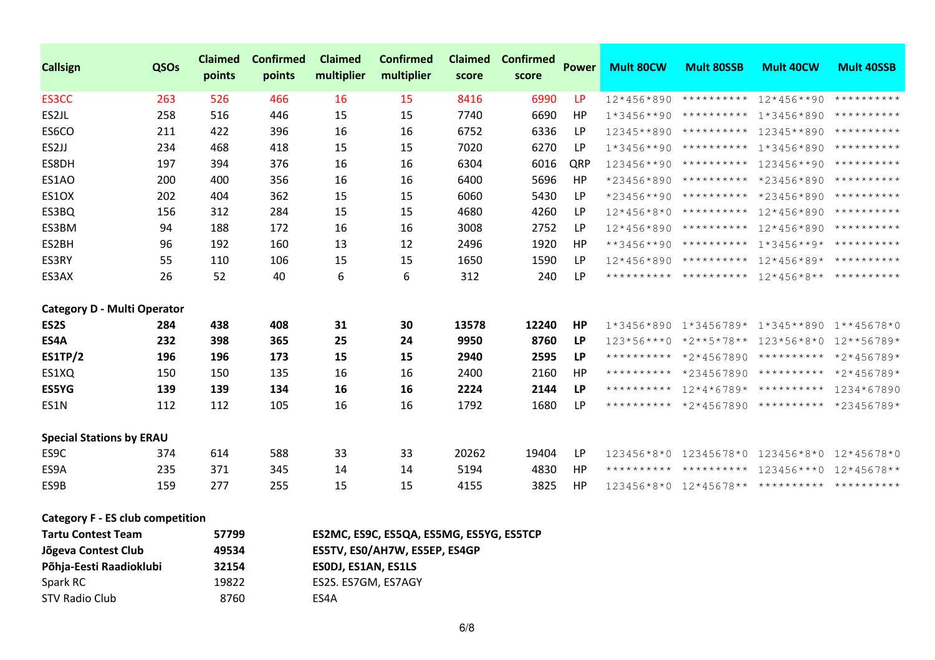| <b>Callsign</b>                    | QSOs | <b>Claimed</b><br>points | <b>Confirmed</b><br>points | <b>Claimed</b><br>multiplier | <b>Confirmed</b><br>multiplier | <b>Claimed</b><br>score | <b>Confirmed</b><br>score | <b>Power</b> | Mult 80CW    | <b>Mult 80SSB</b>                  | <b>Mult 40CW</b>                                      | <b>Mult 40SSB</b> |
|------------------------------------|------|--------------------------|----------------------------|------------------------------|--------------------------------|-------------------------|---------------------------|--------------|--------------|------------------------------------|-------------------------------------------------------|-------------------|
| ES3CC                              | 263  | 526                      | 466                        | <b>16</b>                    | 15                             | 8416                    | 6990                      | <b>LP</b>    | 12*456*890   |                                    | ********** 12*456**90                                 | **********        |
| ES2JL                              | 258  | 516                      | 446                        | 15                           | 15                             | 7740                    | 6690                      | HP           | $1*3456**90$ | ********** 1*3456*890              |                                                       | **********        |
| ES6CO                              | 211  | 422                      | 396                        | 16                           | 16                             | 6752                    | 6336                      | <b>LP</b>    | $12345**890$ | **********                         | 12345**890                                            | **********        |
| ES2JJ                              | 234  | 468                      | 418                        | 15                           | 15                             | 7020                    | 6270                      | LP           | $1*3456**90$ | **********                         | $1*3456*890$                                          | **********        |
| ES8DH                              | 197  | 394                      | 376                        | 16                           | 16                             | 6304                    | 6016                      | QRP          | 123456**90   | ********** 123456**90              |                                                       | **********        |
| ES1AO                              | 200  | 400                      | 356                        | 16                           | 16                             | 6400                    | 5696                      | <b>HP</b>    | *23456*890   | ********** *23456*890              |                                                       | **********        |
| ES1OX                              | 202  | 404                      | 362                        | 15                           | 15                             | 6060                    | 5430                      | LP           | $*23456**90$ | **********                         | *23456*890                                            | **********        |
| ES3BQ                              | 156  | 312                      | 284                        | 15                           | 15                             | 4680                    | 4260                      | <b>LP</b>    | $12*456*8*0$ | ********** 12*456*890              |                                                       | **********        |
| ES3BM                              | 94   | 188                      | 172                        | 16                           | 16                             | 3008                    | 2752                      | <b>LP</b>    | $12*456*890$ | **********                         | 12*456*890                                            | **********        |
| ES2BH                              | 96   | 192                      | 160                        | 13                           | 12                             | 2496                    | 1920                      | HP           | $**3456**90$ | ********** 1*3456**9*              |                                                       | **********        |
| ES3RY                              | 55   | 110                      | 106                        | 15                           | 15                             | 1650                    | 1590                      | <b>LP</b>    | $12*456*890$ | ********** 12*456*89*              |                                                       | **********        |
| ES3AX                              | 26   | 52                       | 40                         | 6                            | 6                              | 312                     | 240                       | LP.          |              |                                    | ********** ********** 12*456*8** **********           |                   |
| <b>Category D - Multi Operator</b> |      |                          |                            |                              |                                |                         |                           |              |              |                                    |                                                       |                   |
| ES <sub>2</sub> S                  | 284  | 438                      | 408                        | 31                           | 30                             | 13578                   | 12240                     | HP           | 1*3456*890   |                                    | 1*3456789* 1*345**890 1**45678*0                      |                   |
| ES4A                               | 232  | 398                      | 365                        | 25                           | 24                             | 9950                    | 8760                      | <b>LP</b>    |              | $123*56***0$ *2**5*78** 123*56*8*0 |                                                       | 12**56789*        |
| <b>ES1TP/2</b>                     | 196  | 196                      | 173                        | 15                           | 15                             | 2940                    | 2595                      | LP           | **********   | $*2*4567890$                       | ********** *2*456789*                                 |                   |
| ES1XQ                              | 150  | 150                      | 135                        | 16                           | 16                             | 2400                    | 2160                      | HP           |              |                                    | ********** *234567890 ********** *2*456789*           |                   |
| <b>ES5YG</b>                       | 139  | 139                      | 134                        | 16                           | 16                             | 2224                    | 2144                      | LP           | **********   | $12*4*6789*$ **********            |                                                       | 1234*67890        |
| ES1N                               | 112  | 112                      | 105                        | 16                           | 16                             | 1792                    | 1680                      | LP           |              |                                    | ********** *2*4567890 ********** *23456789*           |                   |
| <b>Special Stations by ERAU</b>    |      |                          |                            |                              |                                |                         |                           |              |              |                                    |                                                       |                   |
| ES9C                               | 374  | 614                      | 588                        | 33                           | 33                             | 20262                   | 19404                     | LP           | $123456*8*0$ |                                    | 12345678*0 123456*8*0                                 | $12*45678*0$      |
| ES9A                               | 235  | 371                      | 345                        | 14                           | 14                             | 5194                    | 4830                      | HP           |              |                                    | ********** ********** 123456***0 12*45678**           |                   |
| ES9B                               | 159  | 277                      | 255                        | 15                           | 15                             | 4155                    | 3825                      | <b>HP</b>    |              |                                    | $123456*8*0$ $12*45678******************************$ |                   |

|  |  |  |  | <b>Category F - ES club competition</b> |
|--|--|--|--|-----------------------------------------|
|--|--|--|--|-----------------------------------------|

| <b>Tartu Contest Team</b> | 57799 | ES2MC, ES9C, ES5QA, ES5MG, ES5YG, ES5TCP |
|---------------------------|-------|------------------------------------------|
| Jõgeva Contest Club       | 49534 | ES5TV, ES0/AH7W, ES5EP, ES4GP            |
| Põhja-Eesti Raadioklubi   | 32154 | ESODJ, ES1AN, ES1LS                      |
| Spark RC                  | 19822 | ES2S. ES7GM, ES7AGY                      |
| STV Radio Club            | 8760  | ES4A                                     |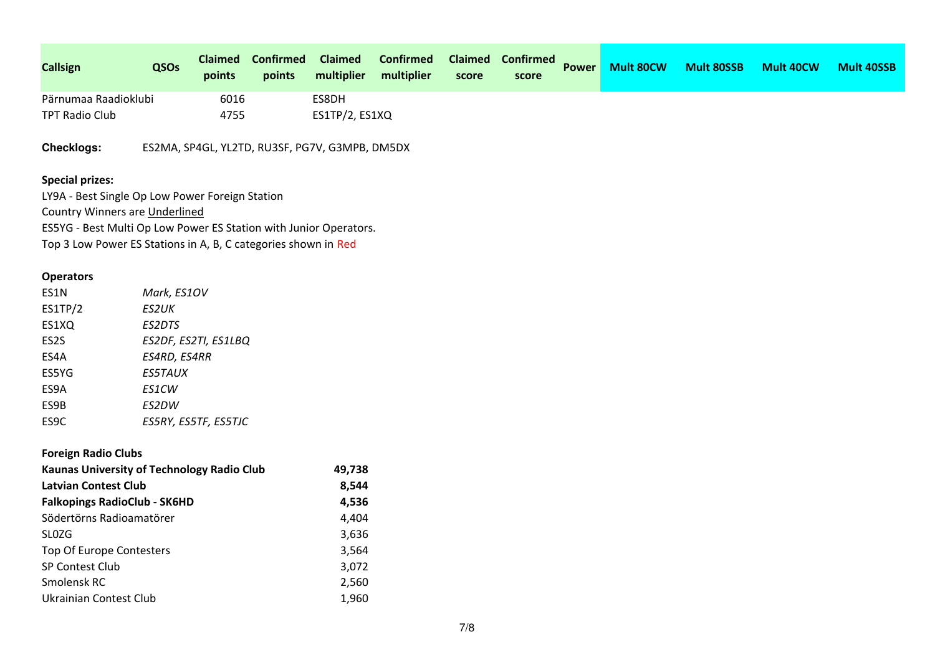| <b>Callsign</b>                                                   | QSOs        | <b>Claimed</b><br>points | <b>Confirmed</b><br>points | <b>Claimed</b><br>multiplier                   | <b>Confirmed</b><br>multiplier | <b>Claimed</b><br>score | <b>Confirmed</b><br>score | <b>Power</b> | <b>Mult 80CW</b> | <b>Mult 80SSB</b> | <b>Mult 40CW</b> | <b>Mult 40SSB</b> |
|-------------------------------------------------------------------|-------------|--------------------------|----------------------------|------------------------------------------------|--------------------------------|-------------------------|---------------------------|--------------|------------------|-------------------|------------------|-------------------|
| Pärnumaa Raadioklubi                                              |             | 6016                     |                            | ES8DH                                          |                                |                         |                           |              |                  |                   |                  |                   |
| <b>TPT Radio Club</b>                                             |             | 4755                     |                            | ES1TP/2, ES1XQ                                 |                                |                         |                           |              |                  |                   |                  |                   |
| <b>Checklogs:</b>                                                 |             |                          |                            | ES2MA, SP4GL, YL2TD, RU3SF, PG7V, G3MPB, DM5DX |                                |                         |                           |              |                  |                   |                  |                   |
| <b>Special prizes:</b>                                            |             |                          |                            |                                                |                                |                         |                           |              |                  |                   |                  |                   |
| LY9A - Best Single Op Low Power Foreign Station                   |             |                          |                            |                                                |                                |                         |                           |              |                  |                   |                  |                   |
| Country Winners are Underlined                                    |             |                          |                            |                                                |                                |                         |                           |              |                  |                   |                  |                   |
| ES5YG - Best Multi Op Low Power ES Station with Junior Operators. |             |                          |                            |                                                |                                |                         |                           |              |                  |                   |                  |                   |
| Top 3 Low Power ES Stations in A, B, C categories shown in Red    |             |                          |                            |                                                |                                |                         |                           |              |                  |                   |                  |                   |
| <b>Operators</b>                                                  |             |                          |                            |                                                |                                |                         |                           |              |                  |                   |                  |                   |
| ES1N                                                              | Mark, ES1OV |                          |                            |                                                |                                |                         |                           |              |                  |                   |                  |                   |
| ES1TP/2                                                           | ES2UK       |                          |                            |                                                |                                |                         |                           |              |                  |                   |                  |                   |
| ES1XQ                                                             | ES2DTS      |                          |                            |                                                |                                |                         |                           |              |                  |                   |                  |                   |
| ES <sub>2</sub> S                                                 |             | ES2DF, ES2TI, ES1LBQ     |                            |                                                |                                |                         |                           |              |                  |                   |                  |                   |

| ___               | 2020, 2021, 20120    |
|-------------------|----------------------|
| ES4A              | ES4RD, ES4RR         |
| ES5YG             | <i>ES5TAUX</i>       |
| ES9A              | ES1CW                |
| ES9B              | ES2DW                |
| ES <sub>9</sub> C | ES5RY, ES5TF, ES5TJC |
|                   |                      |

| <b>Foreign Radio Clubs</b>                        |        |
|---------------------------------------------------|--------|
| <b>Kaunas University of Technology Radio Club</b> | 49,738 |
| <b>Latvian Contest Club</b>                       | 8,544  |
| <b>Falkopings RadioClub - SK6HD</b>               | 4,536  |
| Södertörns Radioamatörer                          | 4,404  |
| <b>SLOZG</b>                                      | 3,636  |
| Top Of Europe Contesters                          | 3,564  |
| <b>SP Contest Club</b>                            | 3,072  |
| Smolensk RC                                       | 2,560  |
| Ukrainian Contest Club                            | 1,960  |